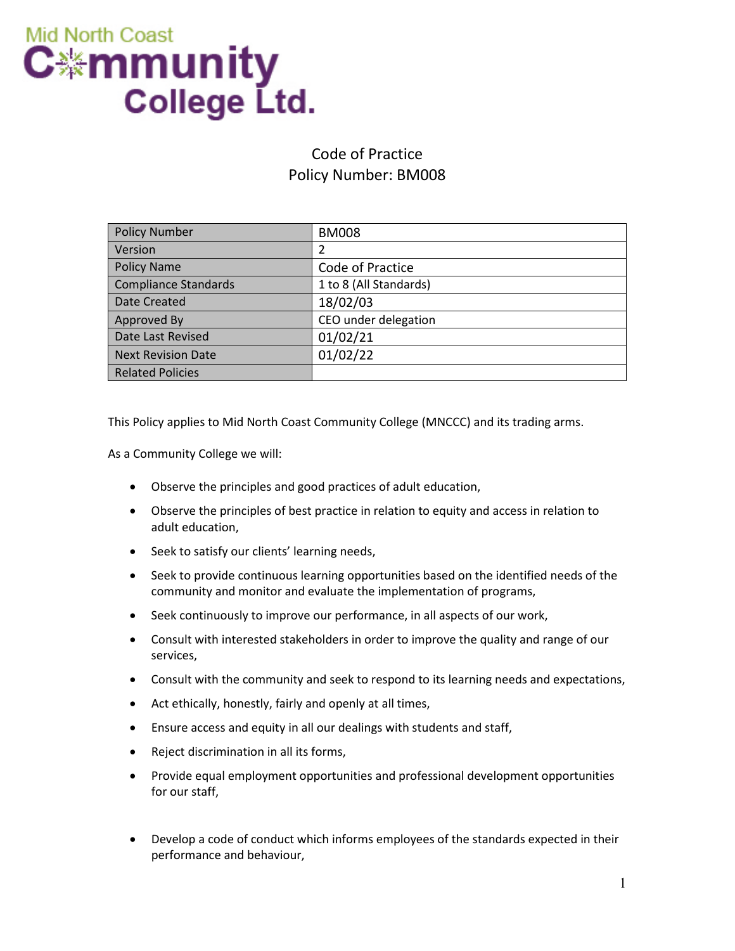

## Code of Practice Policy Number: BM008

| <b>Policy Number</b>    | <b>BM008</b>           |
|-------------------------|------------------------|
| Version                 | 2                      |
| <b>Policy Name</b>      | Code of Practice       |
| Compliance Standards    | 1 to 8 (All Standards) |
| Date Created            | 18/02/03               |
| Approved By             | CEO under delegation   |
| Date Last Revised       | 01/02/21               |
| Next Revision Date      | 01/02/22               |
| <b>Related Policies</b> |                        |

This Policy applies to Mid North Coast Community College (MNCCC) and its trading arms.

As a Community College we will:

- Observe the principles and good practices of adult education,
- Observe the principles of best practice in relation to equity and access in relation to adult education,
- Seek to satisfy our clients' learning needs,
- Seek to provide continuous learning opportunities based on the identified needs of the community and monitor and evaluate the implementation of programs,
- Seek continuously to improve our performance, in all aspects of our work,
- Consult with interested stakeholders in order to improve the quality and range of our services,
- Consult with the community and seek to respond to its learning needs and expectations,
- Act ethically, honestly, fairly and openly at all times,
- Ensure access and equity in all our dealings with students and staff,
- Reject discrimination in all its forms,
- Provide equal employment opportunities and professional development opportunities for our staff,
- Develop a code of conduct which informs employees of the standards expected in their performance and behaviour,